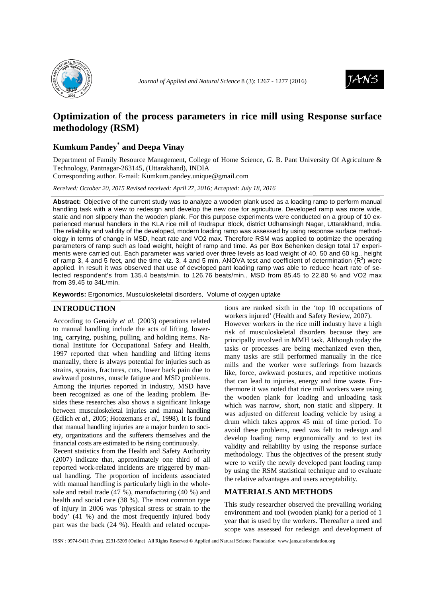



# **Optimization of the process parameters in rice mill using Response surface methodology (RSM)**

## **Kumkum Pandey\* and Deepa Vinay**

Department of Family Resource Management, College of Home Science, *G*. B. Pant University Of Agriculture & Technology, Pantnagar-263145, (Uttarakhand), INDIA

Corresponding author. E-mail: Kumkum.pandey.unique@gmail.com

*Received: October 20, 2015 Revised received: April 27, 2016; Accepted: July 18, 2016*

**Abstract:** Objective of the current study was to analyze a wooden plank used as a loading ramp to perform manual handling task with a view to redesign and develop the new one for agriculture. Developed ramp was more wide, static and non slippery than the wooden plank. For this purpose experiments were conducted on a group of 10 experienced manual handlers in the KLA rice mill of Rudrapur Block, district Udhamsingh Nagar, Uttarakhand, India. The reliability and validity of the developed, modern loading ramp was assessed by using response surface methodology in terms of change in MSD, heart rate and VO2 max. Therefore RSM was applied to optimize the operating parameters of ramp such as load weight, height of ramp and time. As per Box Behenken design total 17 experiments were carried out. Each parameter was varied over three levels as load weight of 40, 50 and 60 kg., height of ramp 3, 4 and 5 feet, and the time viz. 3, 4 and 5 min. ANOVA test and coefficient of determination  $(R^2)$  were applied. In result it was observed that use of developed pant loading ramp was able to reduce heart rate of selected respondent's from 135.4 beats/min. to 126.76 beats/min., MSD from 85.45 to 22.80 % and VO2 max from 39.45 to 34L/min.

**Keywords:** Ergonomics, Musculoskeletal disorders, Volume of oxygen uptake

### **INTRODUCTION**

According to Genaidy *et al.* (2003) operations related to manual handling include the acts of lifting, lowering, carrying, pushing, pulling, and holding items. National Institute for Occupational Safety and Health, 1997 reported that when handling and lifting items manually, there is always potential for injuries such as strains, sprains, fractures, cuts, lower back pain due to awkward postures, muscle fatigue and MSD problems. Among the injuries reported in industry, MSD have been recognized as one of the leading problem. Besides these researches also shows a significant linkage between musculoskeletal injuries and manual handling (Edlich *et al*., 2005; Hoozemans *et al*., 1998). It is found that manual handling injuries are a major burden to society, organizations and the sufferers themselves and the financial costs are estimated to be rising continuously.

Recent statistics from the Health and Safety Authority (2007) indicate that, approximately one third of all reported work-related incidents are triggered by manual handling. The proportion of incidents associated with manual handling is particularly high in the wholesale and retail trade  $(47\%)$ , manufacturing  $(40\%)$  and health and social care (38 %). The most common type of injury in 2006 was 'physical stress or strain to the body' (41 %) and the most frequently injured body part was the back (24 %). Health and related occupa-

tions are ranked sixth in the 'top 10 occupations of workers injured' (Health and Safety Review, 2007). However workers in the rice mill industry have a high risk of musculoskeletal disorders because they are principally involved in MMH task. Although today the tasks or processes are being mechanized even then, many tasks are still performed manually in the rice mills and the worker were sufferings from hazards like, force, awkward postures, and repetitive motions that can lead to injuries, energy and time waste. Furthermore it was noted that rice mill workers were using the wooden plank for loading and unloading task which was narrow, short, non static and slippery. It was adjusted on different loading vehicle by using a drum which takes approx 45 min of time period. To avoid these problems, need was felt to redesign and develop loading ramp ergonomically and to test its validity and reliability by using the response surface methodology. Thus the objectives of the present study were to verify the newly developed pant loading ramp by using the RSM statistical technique and to evaluate the relative advantages and users acceptability.

## **MATERIALS AND METHODS**

This study researcher observed the prevailing working environment and tool (wooden plank) for a period of 1 year that is used by the workers. Thereafter a need and scope was assessed for redesign and development of

ISSN : 0974-9411 (Print), 2231-5209 (Online) All Rights Reserved © Applied and Natural Science Foundation www.jans.ansfoundation.org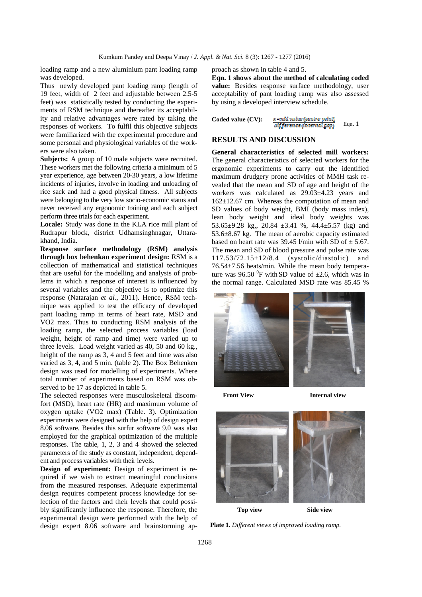loading ramp and a new aluminium pant loading ramp was developed.

Thus newly developed pant loading ramp (length of 19 feet, width of 2 feet and adjustable between 2.5-5 feet) was statistically tested by conducting the experiments of RSM technique and thereafter its acceptability and relative advantages were rated by taking the responses of workers. To fulfil this objective subjects were familiarized with the experimental procedure and some personal and physiological variables of the workers were also taken.

**Subjects:** A group of 10 male subjects were recruited. These workers met the following criteria a minimum of 5 year experience, age between 20-30 years, a low lifetime incidents of injuries, involve in loading and unloading of rice sack and had a good physical fitness. All subjects were belonging to the very low socio-economic status and never received any ergonomic training and each subject perform three trials for each experiment.

**Locale:** Study was done in the KLA rice mill plant of Rudrapur block, district Udhamsinghnagar, Uttarakhand, India.

**Response surface methodology (RSM) analysis through box behenkan experiment design:** RSM is a collection of mathematical and statistical techniques that are useful for the modelling and analysis of problems in which a response of interest is influenced by several variables and the objective is to optimize this response (Natarajan *et al.,* 2011). Hence, RSM technique was applied to test the efficacy of developed pant loading ramp in terms of heart rate, MSD and VO2 max. Thus to conducting RSM analysis of the loading ramp, the selected process variables (load weight, height of ramp and time) were varied up to three levels. Load weight varied as 40, 50 and 60 kg., height of the ramp as 3, 4 and 5 feet and time was also varied as 3, 4, and 5 min. (table 2). The Box Behenken design was used for modelling of experiments. Where total number of experiments based on RSM was observed to be 17 as depicted in table 5.

The selected responses were musculoskeletal discomfort (MSD), heart rate (HR) and maximum volume of oxygen uptake (VO2 max) (Table. 3). Optimization experiments were designed with the help of design expert 8.06 software. Besides this surfur software 9.0 was also employed for the graphical optimization of the multiple responses. The table, 1, 2, 3 and 4 showed the selected parameters of the study as constant, independent, dependent and process variables with their levels.

**Design of experiment:** Design of experiment is required if we wish to extract meaningful conclusions from the measured responses. Adequate experimental design requires competent process knowledge for selection of the factors and their levels that could possibly significantly influence the response. Therefore, the experimental design were performed with the help of design expert 8.06 software and brainstorming approach as shown in table 4 and 5.

**Eqn. 1 shows about the method of calculating coded**  value: Besides response surface methodology, user acceptability of pant loading ramp was also assessed by using a developed interview schedule.

| Coded value $(CV)$ : | x -mid valus (centre point) |        |  |  |
|----------------------|-----------------------------|--------|--|--|
|                      | Difference (internal gap)   | Eqn. 1 |  |  |

#### **RESULTS AND DISCUSSION**

**General characteristics of selected mill workers:**  The general characteristics of selected workers for the ergonomic experiments to carry out the identified maximum drudgery prone activities of MMH task revealed that the mean and SD of age and height of the workers was calculated as 29.03±4.23 years and 162±12.67 cm. Whereas the computation of mean and SD values of body weight, BMI (body mass index), lean body weight and ideal body weights was 53.65±9.28 kg,, 20.84 ±3.41 %, 44.4±5.57 (kg) and 53.6±8.67 kg. The mean of aerobic capacity estimated based on heart rate was 39.45 l/min with SD of  $\pm$  5.67. The mean and SD of blood pressure and pulse rate was 117.53/72.15±12/8.4 (systolic/diastolic) and 76.54±7.56 beats/min. While the mean body temperature was 96.50  $^{0}$ F with SD value of  $\pm$ 2.6, which was in the normal range. Calculated MSD rate was 85.45 %



**Front View 10 Internal view** 



**Plate 1.** *Different views of improved loading ramp.*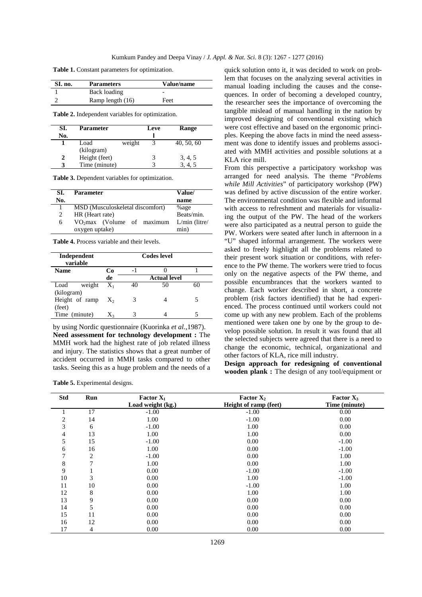**Table 1.** Constant parameters for optimization.

| SI. no. | <b>Parameters</b> | Value/name |
|---------|-------------------|------------|
|         | Back loading      | -          |
|         | Ramp length (16)  | Feet       |

**Table 2.** Independent variables for optimization.

| SI. | <b>Parameter</b> |        | Leve | <b>Range</b> |
|-----|------------------|--------|------|--------------|
| No. |                  |        |      |              |
|     | Load             | weight |      | 40, 50, 60   |
|     | (kilogram)       |        |      |              |
|     | Height (feet)    |        |      | 3, 4, 5      |
|     | Time (minute)    |        |      |              |

**Table 3.** Dependent variables for optimization.

| SI. | Parameter                        | Value/          |
|-----|----------------------------------|-----------------|
| No. |                                  | name            |
|     | MSD (Musculoskeletal discomfort) | %age            |
| 2   | HR (Heart rate)                  | Beats/min.      |
| 6   | $VO2max$ (Volume of maximum      | $L/min$ (litre/ |
|     | oxygen uptake)                   | min)            |

**Table 4.** Process variable and their levels.

| Independent<br>variable | <b>Codes</b> level |     |                     |    |
|-------------------------|--------------------|-----|---------------------|----|
| <b>Name</b>             | Cо                 | - 1 |                     |    |
|                         | de                 |     | <b>Actual level</b> |    |
| weight<br>Load          | $X_1$              | 40  | 50                  | 60 |
| (kilogram)              |                    |     |                     |    |
| Height of ramp          | $X_{2}$            |     |                     |    |
| (feet)                  |                    |     |                     |    |
| Time (minute)           | $X_3$              |     |                     |    |

by using Nordic questionnaire (Kuorinka *et al.,*1987). **Need assessment for technology development :** The MMH work had the highest rate of job related illness and injury. The statistics shows that a great number of accident occurred in MMH tasks compared to other tasks. Seeing this as a huge problem and the needs of a

**Table 5.** Experimental designs.

quick solution onto it, it was decided to work on problem that focuses on the analyzing several activities in manual loading including the causes and the consequences. In order of becoming a developed country, the researcher sees the importance of overcoming the tangible mislead of manual handling in the nation by improved designing of conventional existing which were cost effective and based on the ergonomic principles. Keeping the above facts in mind the need assessment was done to identify issues and problems associated with MMH activities and possible solutions at a KLA rice mill.

From this perspective a participatory workshop was arranged for need analysis. The theme "*Problems while Mill Activities*" of participatory workshop (PW) was defined by active discussion of the entire worker. The environmental condition was flexible and informal with access to refreshment and materials for visualizing the output of the PW. The head of the workers were also participated as a neutral person to guide the PW. Workers were seated after lunch in afternoon in a "U" shaped informal arrangement. The workers were asked to freely highlight all the problems related to their present work situation or conditions, with reference to the PW theme. The workers were tried to focus only on the negative aspects of the PW theme, and possible encumbrances that the workers wanted to change. Each worker described in short, a concrete problem (risk factors identified) that he had experienced. The process continued until workers could not come up with any new problem. Each of the problems mentioned were taken one by one by the group to develop possible solution. In result it was found that all the selected subjects were agreed that there is a need to change the economic, technical, organizational and other factors of KLA, rice mill industry.

**Design approach for redesigning of conventional wooden plank :** The design of any tool/equipment or

| <b>Std</b>     | Run | <b>Factor <math>X_1</math></b><br>Load weight (kg.) | Factor $X_2$<br>Height of ramp (feet) | Factor $X_3$<br>Time (minute) |
|----------------|-----|-----------------------------------------------------|---------------------------------------|-------------------------------|
|                | 17  | $-1.00$                                             | $-1.00$                               | 0.00                          |
| $\overline{c}$ | 14  | 1.00                                                | $-1.00$                               | 0.00                          |
| 3              | 6   | $-1.00$                                             | 1.00                                  | 0.00                          |
| 4              | 13  | 1.00                                                | 1.00                                  | 0.00                          |
| 5              | 15  | $-1.00$                                             | 0.00                                  | $-1.00$                       |
| 6              | 16  | 1.00                                                | 0.00                                  | $-1.00$                       |
| 7              | 2   | $-1.00$                                             | 0.00                                  | 1.00                          |
| 8              | 7   | 1.00                                                | 0.00                                  | 1.00                          |
| 9              |     | 0.00                                                | $-1.00$                               | $-1.00$                       |
| 10             | 3   | 0.00                                                | 1.00                                  | $-1.00$                       |
| 11             | 10  | 0.00                                                | $-1.00$                               | 1.00                          |
| 12             | 8   | 0.00                                                | 1.00                                  | 1.00                          |
| 13             | 9   | 0.00                                                | 0.00                                  | 0.00                          |
| 14             | 5   | 0.00                                                | 0.00                                  | 0.00                          |
| 15             | 11  | 0.00                                                | 0.00                                  | 0.00                          |
| 16             | 12  | 0.00                                                | 0.00                                  | 0.00                          |
| 17             | 4   | 0.00                                                | 0.00                                  | 0.00                          |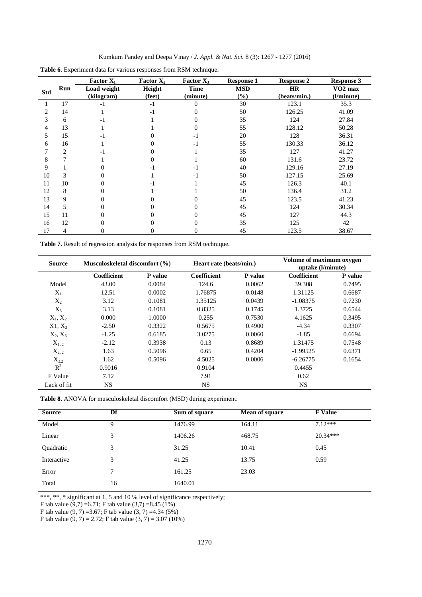| Kumkum Pandey and Deepa Vinay / <i>J. Appl. &amp; Nat. Sci.</i> 8 (3): 1267 - 1277 (2016) |  |  |  |  |
|-------------------------------------------------------------------------------------------|--|--|--|--|
|-------------------------------------------------------------------------------------------|--|--|--|--|

|                |     | Factor $X_1$ | <b>Factor X</b> <sub>2</sub> | Factor $X_3$ | <b>Response 1</b> | <b>Response 2</b> | <b>Response 3</b>   |
|----------------|-----|--------------|------------------------------|--------------|-------------------|-------------------|---------------------|
| <b>Std</b>     | Run | Load weight  | Height                       | <b>Time</b>  | <b>MSD</b>        | HR                | VO <sub>2</sub> max |
|                |     | (kilogram)   | (feet)                       | (minute)     | (%)               | (beats/min.)      | (l/minute)          |
|                | 17  | $-1$         | $-1$                         | 0            | 30                | 123.1             | 35.3                |
| $\mathfrak{D}$ | 14  |              | $-1$                         |              | 50                | 126.25            | 41.09               |
| 3              | 6   | -1           |                              |              | 35                | 124               | 27.84               |
| 4              | 13  |              |                              |              | 55                | 128.12            | 50.28               |
| 5              | 15  | - 1          |                              | - 1          | 20                | 128               | 36.31               |
| 6              | 16  |              |                              | -1           | 55                | 130.33            | 36.12               |
|                | 2   | -1           |                              |              | 35                | 127               | 41.27               |
| 8              |     |              |                              |              | 60                | 131.6             | 23.72               |
| 9              |     |              |                              |              | 40                | 129.16            | 27.19               |
| 10             | 3   |              |                              | -1           | 50                | 127.15            | 25.69               |
| 11             | 10  | $\theta$     | - 1                          |              | 45                | 126.3             | 40.1                |
| 12             | 8   |              |                              |              | 50                | 136.4             | 31.2                |
| 13             | 9   |              |                              |              | 45                | 123.5             | 41.23               |
| 14             | 5.  |              |                              |              | 45                | 124               | 30.34               |
| 15             | 11  | $\theta$     |                              |              | 45                | 127               | 44.3                |
| 16             | 12  | 0            |                              |              | 35                | 125               | 42                  |
| 17             | 4   | 0            |                              |              | 45                | 123.5             | 38.67               |

**Table 6**. Experiment data for various responses from RSM technique.

**Table 7.** Result of regression analysis for responses from RSM technique.

| <b>Source</b> | Musculoskeletal discomfort $(\% )$ |         | Heart rate (beats/min.) |         | Volume of maximum oxygen<br>uptake (l/minute) |         |
|---------------|------------------------------------|---------|-------------------------|---------|-----------------------------------------------|---------|
|               | <b>Coefficient</b>                 | P value | Coefficient             | P value | Coefficient                                   | P value |
| Model         | 43.00                              | 0.0084  | 124.6                   | 0.0062  | 39.308                                        | 0.7495  |
| $X_1$         | 12.51                              | 0.0002  | 1.76875                 | 0.0148  | 1.31125                                       | 0.6687  |
| $X_2$         | 3.12                               | 0.1081  | 1.35125                 | 0.0439  | $-1.08375$                                    | 0.7230  |
| $X_3$         | 3.13                               | 0.1081  | 0.8325                  | 0.1745  | 1.3725                                        | 0.6544  |
| $X_1, X_2$    | 0.000                              | 1.0000  | 0.255                   | 0.7530  | 4.1625                                        | 0.3495  |
| $X1, X_3$     | $-2.50$                            | 0.3322  | 0.5675                  | 0.4900  | $-4.34$                                       | 0.3307  |
| $X_2, X_3$    | $-1.25$                            | 0.6185  | 3.0275                  | 0.0060  | $-1.85$                                       | 0.6694  |
| $X_{1,2}$     | $-2.12$                            | 0.3938  | 0.13                    | 0.8689  | 1.31475                                       | 0.7548  |
| $X_{2,2}$     | 1.63                               | 0.5096  | 0.65                    | 0.4204  | $-1.99525$                                    | 0.6371  |
| $X_{3,2}$     | 1.62                               | 0.5096  | 4.5025                  | 0.0006  | $-6.26775$                                    | 0.1654  |
| $R^2$         | 0.9016                             |         | 0.9104                  |         | 0.4455                                        |         |
| F Value       | 7.12                               |         | 7.91                    |         | 0.62                                          |         |
| Lack of fit   | NS.                                |         | <b>NS</b>               |         | <b>NS</b>                                     |         |

**Table 8.** ANOVA for musculoskeletal discomfort (MSD) during experiment.

| <b>Source</b>    | Df | Sum of square | <b>Mean of square</b> | <b>F</b> Value |
|------------------|----|---------------|-----------------------|----------------|
| Model            | 9  | 1476.99       | 164.11                | $7.12***$      |
| Linear           | 3  | 1406.26       | 468.75                | $20.34***$     |
| <b>Ouadratic</b> | 3  | 31.25         | 10.41                 | 0.45           |
| Interactive      | 3  | 41.25         | 13.75                 | 0.59           |
| Error            | 7  | 161.25        | 23.03                 |                |
| Total            | 16 | 1640.01       |                       |                |

\*\*\*, \*\*, \* significant at 1, 5 and 10 % level of significance respectively;

F tab value  $(9,7) = 6.71$ ; F tab value  $(3,7) = 8.45$  (1%)

F tab value (9, 7) =3.67; F tab value (3, 7) =4.34 (5%)

F tab value  $(9, 7) = 2.72$ ; F tab value  $(3, 7) = 3.07$   $(10\%)$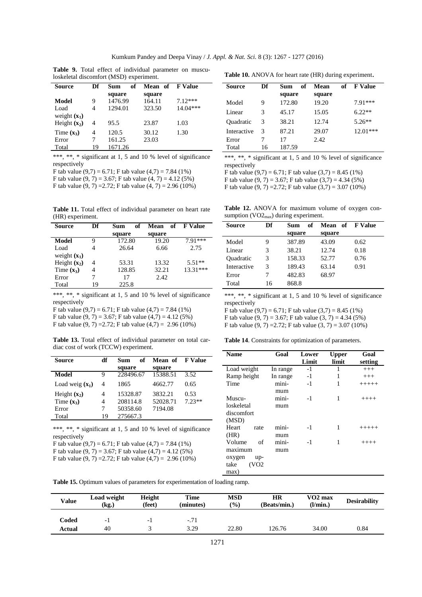| <b>Source</b>  | Df | of<br>Sum | Mean of | <b>F</b> Value |
|----------------|----|-----------|---------|----------------|
|                |    | square    | square  |                |
| Model          | 9  | 1476.99   | 164.11  | $7.12***$      |
| Load           | 4  | 1294.01   | 323.50  | 14.04***       |
| weight $(x_1)$ |    |           |         |                |
| Height $(x_2)$ | 4  | 95.5      | 23.87   | 1.03           |
| Time $(x_3)$   | 4  | 120.5     | 30.12   | 1.30           |
| Error          | 7  | 161.25    | 23.03   |                |
| Total          | 19 | 1671.26   |         |                |

**Table 9.** Total effect of individual parameter on musculoskeletal discomfort (MSD) experiment.

\*\*\*, \*\*, \* significant at 1, 5 and 10 % level of significance respectively

F tab value  $(9.7) = 6.71$ ; F tab value  $(4.7) = 7.84$  (1%)

F tab value  $(9, 7) = 3.67$ ; F tab value  $(4, 7) = 4.12$  (5%)

F tab value  $(9, 7) = 2.72$ ; F tab value  $(4, 7) = 2.96 (10\%)$ 

**Table 11.** Total effect of individual parameter on heart rate (HR) experiment.

| Df | of<br>Sum | Mean   | <b>F Value</b> |
|----|-----------|--------|----------------|
|    | square    | square |                |
| Q  | 172.80    | 19.20  | $7.91***$      |
|    | 26.64     | 6.66   | 2.75           |
|    |           |        |                |
| 4  | 53.31     | 13.32  | $5.51**$       |
| 4  | 128.85    | 32.21  | 13.31***       |
|    | 17        | 2.42.  |                |
| 19 | 225.8     |        |                |
|    |           |        | of             |

\*\*\*, \*\*, \* significant at 1, 5 and 10 % level of significance respectively

F tab value  $(9,7) = 6.71$ ; F tab value  $(4,7) = 7.84$  (1%) F tab value  $(9, 7) = 3.67$ ; F tab value  $(4, 7) = 4.12$  (5%)

F tab value  $(9, 7) = 2.72$ ; F tab value  $(4, 7) = 2.96 (10\%)$ 

**Table 13.** Total effect of individual parameter on total cardiac cost of work (TCCW) experiment.

| Source            | df | of<br>Sum | <b>Mean of FValue</b> |          |
|-------------------|----|-----------|-----------------------|----------|
|                   |    | square    | square                |          |
| Model             | 9  | 228496.67 | 15388.51              | 3.52     |
| Load weig $(x_1)$ | 4  | 1865      | 4662.77               | 0.65     |
| Height $(x_2)$    | 4  | 15328.87  | 3832.21               | 0.53     |
| Time $(x_3)$      | 4  | 208114.8  | 52028.71              | $7.23**$ |
| Error             | 7  | 50358.60  | 7194.08               |          |
| Total             | 19 | 275667.3  |                       |          |

\*\*\*, \*\*, \* significant at 1, 5 and 10 % level of significance respectively

F tab value  $(9.7) = 6.71$ ; F tab value  $(4.7) = 7.84$  (1%)

F tab value  $(9, 7) = 3.67$ ; F tab value  $(4, 7) = 4.12$  (5%) F tab value  $(9, 7) = 2.72$ ; F tab value  $(4, 7) = 2.96 (10\%)$ 

**Table 10.** ANOVA for heart rate (HR) during experiment.

| Source      | Df | of<br>Sum<br>square | of<br>Mean<br>square | <b>F</b> Value |
|-------------|----|---------------------|----------------------|----------------|
| Model       | 9  | 172.80              | 19.20                | $7.91***$      |
| Linear      | 3  | 45.17               | 15.05                | $6.22**$       |
| Ouadratic   | 3  | 38.21               | 12.74                | $5.26**$       |
| Interactive | 3  | 87.21               | 29.07                | $12.01***$     |
| Error       |    | 17                  | 2.42                 |                |
| Total       | 16 | 187.59              |                      |                |

\*\*\*, \*\*, \* significant at 1, 5 and 10 % level of significance respectively

F tab value  $(9,7) = 6.71$ ; F tab value  $(3,7) = 8.45$   $(1%)$ 

F tab value  $(9, 7) = 3.67$ ; F tab value  $(3, 7) = 4.34$  (5%) F tab value  $(9, 7) = 2.72$ ; F tab value  $(3, 7) = 3.07$  (10%)

**Table 12.** ANOVA for maximum volume of oxygen consumption  $(VO2_{max})$  during experiment.

| Source      | Df | of<br>Sum | Mean of FValue |      |
|-------------|----|-----------|----------------|------|
|             |    | square    | square         |      |
| Model       | 9  | 387.89    | 43.09          | 0.62 |
| Linear      | 3  | 38.21     | 12.74          | 0.18 |
| Ouadratic   | 3  | 158.33    | 52.77          | 0.76 |
| Interactive | 3  | 189.43    | 63.14          | 0.91 |
| Error       | 7  | 482.83    | 68.97          |      |
| Total       | 16 | 868.8     |                |      |

\*\*\*, \*\*, \* significant at 1, 5 and 10 % level of significance respectively

F tab value  $(9,7) = 6.71$ ; F tab value  $(3,7) = 8.45$  (1%) F tab value  $(9, 7) = 3.67$ ; F tab value  $(3, 7) = 4.34$  (5%) F tab value  $(9, 7) = 2.72$ ; F tab value  $(3, 7) = 3.07$  (10%)

**Table 14**. Constraints for optimization of parameters.

| Name          | Goal     | Lower | Upper | Goal     |
|---------------|----------|-------|-------|----------|
|               |          | Limit | limit | setting  |
| Load weight   | In range | $-1$  | 1     | $^{+++}$ |
| Ramp height   | In range | $-1$  | 1     | $^{+++}$ |
| Time          | mini-    | $-1$  | 1     | $+++++$  |
|               | mum      |       |       |          |
| Muscu-        | mini-    | $-1$  | 1     | $+++++$  |
| loskeletal    | mum      |       |       |          |
| discomfort    |          |       |       |          |
| (MSD)         |          |       |       |          |
| Heart<br>rate | mini-    | $-1$  | 1     | $+++++$  |
| (HR)          | mum      |       |       |          |
| Volume<br>of  | mini-    | $-1$  | 1     | $+++++$  |
| maximum       | mum      |       |       |          |
| oxygen<br>up- |          |       |       |          |
| take<br>(VO2  |          |       |       |          |
| max)          |          |       |       |          |

**Table 15.** Optimum values of parameters for experimentation of loading ramp.

| <b>Value</b> | Load weight<br>(kg.) | <b>Height</b><br>(feet) | Time<br>(minutes) | <b>MSD</b><br>$\frac{9}{0}$ | HR<br>(Beats/min.) | $VO2$ max<br>(l/min.) | <b>Desirability</b> |
|--------------|----------------------|-------------------------|-------------------|-----------------------------|--------------------|-----------------------|---------------------|
| Coded        | - 1                  | $-1$                    | $-.71$            |                             |                    |                       |                     |
| Actual       | 40                   |                         | 3.29              | 22.80                       | 126.76             | 34.00                 | 0.84                |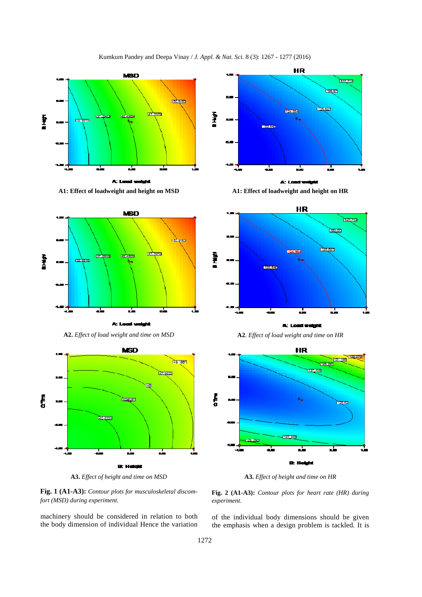





**A2.** *Effect of load weight and time on MSD* **A2***. Effect of load weight and time on HR* 



**A3.** *Effect of height and time on MSD* **A3.** *Effect of height and time on HR* 



machinery should be considered in relation to both the body dimension of individual Hence the variation







**Fig. 2 (A1-A3):** *Contour plots for heart rate (HR) during experiment*.

of the individual body dimensions should be given the emphasis when a design problem is tackled. It is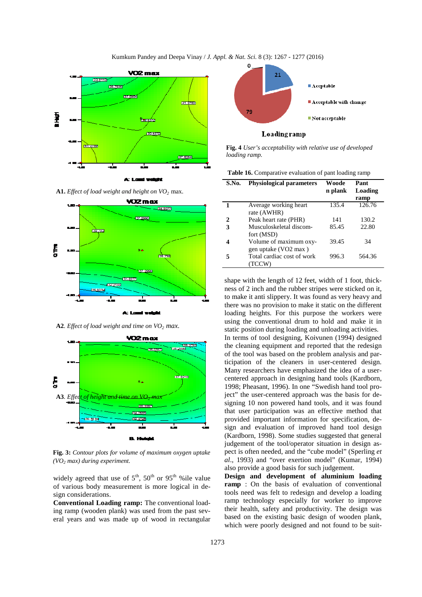

**A1.** *Effect of load weight and height on VO<sup>2</sup>* max.



**A2***. Effect of load weight and time on VO<sup>2</sup> max.* 



**Fig. 3:** *Contour plots for volume of maximum oxygen uptake (VO2 max) during experiment.*

widely agreed that use of  $5<sup>th</sup>$ ,  $50<sup>th</sup>$  or  $95<sup>th</sup>$  %ile value of various body measurement is more logical in design considerations.

**Conventional Loading ramp:** The conventional loading ramp (wooden plank) was used from the past several years and was made up of wood in rectangular



**Fig. 4** *User's acceptability with relative use of developed loading ramp.* 

| Table 16. Comparative evaluation of pant loading ramp |  |  |
|-------------------------------------------------------|--|--|
|                                                       |  |  |

| S.No. | <b>Physiological parameters</b> | Woode   | Pant    |
|-------|---------------------------------|---------|---------|
|       |                                 | n plank | Loading |
|       |                                 |         | ramp    |
|       | Average working heart           | 135.4   | 126.76  |
|       | rate (AWHR)                     |         |         |
| 2     | Peak heart rate (PHR)           | 141     | 130.2   |
| 3     | Musculoskeletal discom-         | 85.45   | 22.80   |
|       | fort (MSD)                      |         |         |
| 4     | Volume of maximum oxy-          | 39.45   | 34      |
|       | gen uptake (VO2 max)            |         |         |
| 5     | Total cardiac cost of work      | 996.3   | 564.36  |
|       | (TCCW)                          |         |         |

shape with the length of 12 feet, width of 1 foot, thickness of 2 inch and the rubber stripes were sticked on it, to make it anti slippery. It was found as very heavy and there was no provision to make it static on the different loading heights. For this purpose the workers were using the conventional drum to hold and make it in static position during loading and unloading activities. In terms of tool designing, Koivunen (1994) designed the cleaning equipment and reported that the redesign of the tool was based on the problem analysis and participation of the cleaners in user-centered design. Many researchers have emphasized the idea of a usercentered approach in designing hand tools (Kardborn, 1998; Pheasant, 1996). In one "Swedish hand tool project" the user-centered approach was the basis for designing 10 non powered hand tools, and it was found that user participation was an effective method that provided important information for specification, design and evaluation of improved hand tool design (Kardborn, 1998). Some studies suggested that general judgement of the tool/operator situation in design aspect is often needed, and the "cube model" (Sperling *et al*., 1993) and "over exertion model" (Kumar, 1994) also provide a good basis for such judgement.

**Design and development of aluminium loading ramp** : On the basis of evaluation of conventional tools need was felt to redesign and develop a loading ramp technology especially for worker to improve their health, safety and productivity. The design was based on the existing basic design of wooden plank, which were poorly designed and not found to be suit-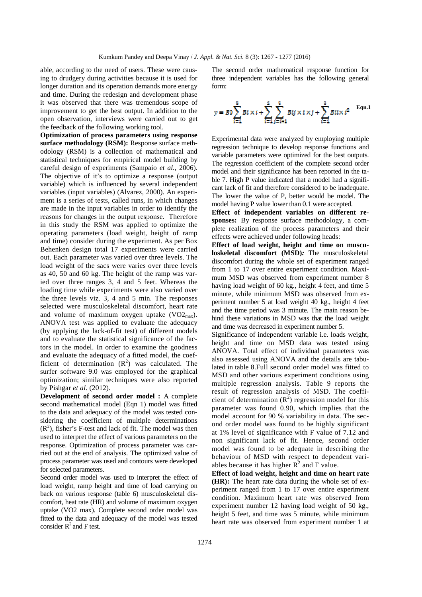able, according to the need of users. These were causing to drudgery during activities because it is used for longer duration and its operation demands more energy and time. During the redesign and development phase it was observed that there was tremendous scope of improvement to get the best output. In addition to the open observation, interviews were carried out to get the feedback of the following working tool.

**Optimization of process parameters using response surface methodology (RSM):** Response surface methodology (RSM) is a collection of mathematical and statistical techniques for empirical model building by careful design of experiments (Sampaio *et al.,* 2006). The objective of it's to optimize a response (output variable) which is influenced by several independent variables (input variables) (Alvarez, 2000). An experiment is a series of tests, called runs, in which changes are made in the input variables in order to identify the reasons for changes in the output response. Therefore in this study the RSM was applied to optimize the operating parameters (load weight, height of ramp and time) consider during the experiment. As per Box Behenken design total 17 experiments were carried out. Each parameter was varied over three levels. The load weight of the sacs were varies over three levels as 40, 50 and 60 kg. The height of the ramp was varied over three ranges 3, 4 and 5 feet. Whereas the loading time while experiments were also varied over the three levels viz. 3, 4 and 5 min. The responses selected were musculoskeletal discomfort, heart rate and volume of maximum oxygen uptake  $(VO2<sub>max</sub>)$ . ANOVA test was applied to evaluate the adequacy (by applying the lack-of-fit test) of different models and to evaluate the statistical significance of the factors in the model. In order to examine the goodness and evaluate the adequacy of a fitted model, the coefficient of determination  $(R^2)$  was calculated. The surfer software 9.0 was employed for the graphical optimization; similar techniques were also reported by Pishgar *et al*. (2012).

**Development of second order model :** A complete second mathematical model (Eqn 1) model was fitted to the data and adequacy of the model was tested considering the coefficient of multiple determinations  $(R<sup>2</sup>)$ , fisher's F-test and lack of fit. The model was then used to interpret the effect of various parameters on the response. Optimization of process parameter was carried out at the end of analysis. The optimized value of process parameter was used and contours were developed for selected parameters.

Second order model was used to interpret the effect of load weight, ramp height and time of load carrying on back on various response (table 6) musculoskeletal discomfort, heat rate (HR) and volume of maximum oxygen uptake (VO2 max). Complete second order model was fitted to the data and adequacy of the model was tested consider  $R^2$  and F test.

The second order mathematical response function for three independent variables has the following general form:



Experimental data were analyzed by employing multiple regression technique to develop response functions and variable parameters were optimized for the best outputs. The regression coefficient of the complete second order model and their significance has been reported in the table 7. High P value indicated that a model had a significant lack of fit and therefore considered to be inadequate. The lower the value of P, better would be model. The model having P value lower than 0.1 were accepted.

**Effect of independent variables on different responses:** By response surface methodology, a complete realization of the process parameters and their effects were achieved under following heads:

**Effect of load weight, height and time on musculoskeletal discomfort (MSD)***:* The musculoskeletal discomfort during the whole set of experiment ranged from 1 to 17 over entire experiment condition. Maximum MSD was observed from experiment number 8 having load weight of 60 kg., height 4 feet, and time 5 minute, while minimum MSD was observed from experiment number 5 at load weight 40 kg., height 4 feet and the time period was 3 minute. The main reason behind these variations in MSD was that the load weight and time was decreased in experiment number 5.

Significance of independent variable i.e. loads weight, height and time on MSD data was tested using ANOVA. Total effect of individual parameters was also assessed using ANOVA and the details are tabulated in table 8.Full second order model was fitted to MSD and other various experiment conditions using multiple regression analysis. Table 9 reports the result of regression analysis of MSD. The coefficient of determination  $(R^2)$  regression model for this parameter was found 0.90, which implies that the model account for 90 % variability in data. The second order model was found to be highly significant at 1% level of significance with F value of 7.12 and non significant lack of fit. Hence, second order model was found to be adequate in describing the behaviour of MSD with respect to dependent variables because it has higher  $R^2$  and F value.

**Effect of load weight, height and time on heart rate (HR):** The heart rate data during the whole set of experiment ranged from 1 to 17 over entire experiment condition. Maximum heart rate was observed from experiment number 12 having load weight of 50 kg., height 5 feet, and time was 5 minute, while minimum heart rate was observed from experiment number 1 at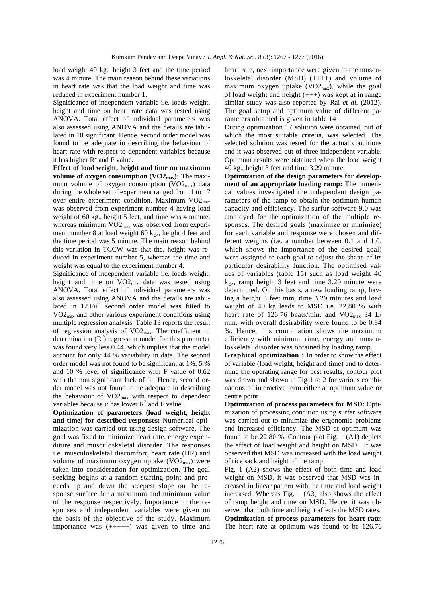load weight 40 kg., height 3 feet and the time period was 4 minute. The main reason behind these variations in heart rate was that the load weight and time was reduced in experiment number 1.

Significance of independent variable i.e. loads weight, height and time on heart rate data was tested using ANOVA. Total effect of individual parameters was also assessed using ANOVA and the details are tabulated in 10.significant. Hence, second order model was found to be adequate in describing the behaviour of heart rate with respect to dependent variables because it has higher  $R^2$  and F value.

**Effect of load weight, height and time on maximum volume of oxygen consumption (VO2max):** The maximum volume of oxygen consumption (VO2<sub>max</sub>) data during the whole set of experiment ranged from 1 to 17 over entire experiment condition. Maximum  $VO2_{\text{max}}$ was observed from experiment number 4 having load weight of 60 kg., height 5 feet, and time was 4 minute, whereas minimum  $VO2_{max}$  was observed from experiment number 8 at load weight 60 kg., height 4 feet and the time period was 5 minute. The main reason behind this variation in TCCW was that the, height was reduced in experiment number 5, whereas the time and weight was equal to the experiment number 4.

Significance of independent variable i.e. loads weight, height and time on VO2max data was tested using ANOVA. Total effect of individual parameters was also assessed using ANOVA and the details are tabulated in 12.Full second order model was fitted to VO2max and other various experiment conditions using multiple regression analysis. Table 13 reports the result of regression analysis of VO2max. The coefficient of determination  $(R^2)$  regression model for this parameter was found very less 0.44, which implies that the model account for only 44 % variability in data. The second order model was not found to be significant at 1%, 5 % and 10 % level of significance with F value of 0.62 with the non significant lack of fit. Hence, second order model was not found to be adequate in describing the behaviour of  $VO2_{max}$  with respect to dependent variables because it has lower  $R^2$  and F value.

**Optimization of parameters (load weight, height and time) for described responses:** Numerical optimization was carried out using design software. The goal was fixed to minimize heart rate, energy expenditure and musculoskeletal disorder. The responses i.e. musculoskeletal discomfort, heart rate (HR) and volume of maximum oxygen uptake  $(VO2<sub>max</sub>)$  were taken into consideration for optimization. The goal seeking begins at a random starting point and proceeds up and down the steepest slope on the response surface for a maximum and minimum value of the response respectively. Importance to the responses and independent variables were given on the basis of the objective of the study. Maximum importance was (+++++) was given to time and

heart rate, next importance were given to the musculoskeletal disorder (MSD) (++++) and volume of maximum oxygen uptake (VO2max), while the goal of load weight and height (+++) was kept at in range similar study was also reported by Rai *et al.* (2012). The goal setup and optimum value of different parameters obtained is given in table 14

During optimization 17 solution were obtained, out of which the most suitable criteria, was selected. The selected solution was tested for the actual conditions and it was observed out of three independent variable. Optimum results were obtained when the load weight 40 kg., height 3 feet and time 3.29 minute.

**Optimization of the design parameters for development of an appropriate loading ramp:** The numerical values investigated the independent design parameters of the ramp to obtain the optimum human capacity and efficiency. The surfur software 9.0 was employed for the optimization of the multiple responses. The desired goals (maximize or minimize) for each variable and response were chosen and different weights (i.e. a number between 0.1 and 1.0, which shows the importance of the desired goal) were assigned to each goal to adjust the shape of its particular desirability function. The optimised values of variables (table 15) such as load weight 40 kg., ramp height 3 feet and time 3.29 minute were determined. On this basis, a new loading ramp, having a height 3 feet mm, time 3.29 minutes and load weight of 40 kg leads to MSD i.e. 22.80 % with heart rate of 126.76 beats/min. and  $VO2_{max}$  34 L/ min. with overall desirability were found to be 0.84 %. Hence, this combination shows the maximum efficiency with minimum time, energy and musculoskeletal disorder was obtained by loading ramp.

**Graphical optimization :** In order to show the effect of variable (load weight, height and time) and to determine the operating range for best results, contour plot was drawn and shown in Fig 1 to 2 for various combinations of interactive term either at optimum value or centre point.

**Optimization of process parameters for MSD:** Optimization of processing condition using surfer software was carried out to minimize the ergonomic problems and increased efficiency. The MSD at optimum was found to be 22.80 %. Contour plot Fig. 1 (A1) depicts the effect of load weight and height on MSD. It was observed that MSD was increased with the load weight of rice sack and height of the ramp.

Fig. 1 (A2) shows the effect of both time and load weight on MSD, it was observed that MSD was increased in linear pattern with the time and load weight increased. Whereas Fig. 1 (A3) also shows the effect of ramp height and time on MSD. Hence, it was observed that both time and height affects the MSD rates. **Optimization of process parameters for heart rate**: The heart rate at optimum was found to be 126.76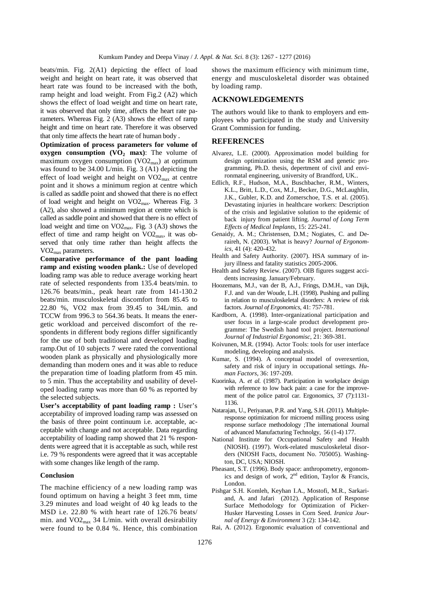beats/min. Fig. 2(A1) depicting the effect of load weight and height on heart rate, it was observed that heart rate was found to be increased with the both, ramp height and load weight. From Fig.2 (A2) which shows the effect of load weight and time on heart rate, it was observed that only time, affects the heart rate parameters. Whereas Fig. 2 (A3) shows the effect of ramp height and time on heart rate. Therefore it was observed that only time affects the heart rate of human body .

**Optimization of process parameters for volume of oxygen consumption (VO2 max)**: The volume of maximum oxygen consumption  $(VO2_{\text{max}})$  at optimum was found to be 34.00 L/min. Fig. 3 (A1) depicting the effect of load weight and height on VO2max at centre point and it shows a minimum region at centre which is called as saddle point and showed that there is no effect of load weight and height on VO2max. Whereas Fig. 3 (A2), also showed a minimum region at centre which is called as saddle point and showed that there is no effect of load weight and time on VO2max. Fig. 3 (A3) shows the effect of time and ramp height on  $VO2_{\text{max}}$ , it was observed that only time rather than height affects the VO2max parameters.

**Comparative performance of the pant loading ramp and existing wooden plank.:** Use of developed loading ramp was able to reduce average working heart rate of selected respondents from 135.4 beats/min. to 126.76 beats/min., peak heart rate from 141-130.2 beats/min. musculoskeletal discomfort from 85.45 to 22.80 %, VO2 max from 39.45 to 34L/min. and TCCW from 996.3 to 564.36 beats. It means the energetic workload and perceived discomfort of the respondents in different body regions differ significantly for the use of both traditional and developed loading ramp.Out of 10 subjects 7 were rated the conventional wooden plank as physically and physiologically more demanding than modern ones and it was able to reduce the preparation time of loading platform from 45 min. to 5 min. Thus the acceptability and usability of developed loading ramp was more than 60 % as reported by the selected subjects.

User's acceptability of pant loading ramp : User's acceptability of improved loading ramp was assessed on the basis of three point continuum i.e. acceptable, acceptable with change and not acceptable. Data regarding acceptability of loading ramp showed that 21 % respondents were agreed that it is acceptable as such, while rest i.e. 79 % respondents were agreed that it was acceptable with some changes like length of the ramp.

#### **Conclusion**

The machine efficiency of a new loading ramp was found optimum on having a height 3 feet mm, time 3.29 minutes and load weight of 40 kg leads to the MSD i.e. 22.80 % with heart rate of 126.76 beats/ min. and  $VO2_{\text{max}}$  34 L/min. with overall desirability were found to be 0.84 %. Hence, this combination shows the maximum efficiency with minimum time, energy and musculoskeletal disorder was obtained by loading ramp.

#### **ACKNOWLEDGEMENTS**

The authors would like to thank to employers and employees who participated in the study and University Grant Commission for funding.

#### **REFERENCES**

- Alvarez, L.E. (2000). Approximation model building for design optimization using the RSM and genetic programming, Ph.D. thesis, depertment of civil and environmatal engineering, university of Brandford, UK..
- Edlich, R.F., Hudson, M.A., Buschbacher, R.M., Winters, K.L., Britt, L.D., Cox, M.J., Becker, D.G., McLaughlin, J.K., Gubler, K.D. and Zomerschoe, T.S. et al. (2005). Devastating injuries in healthcare workers: Description of the crisis and legislative solution to the epidemic of back injury from patient lifting. *Journal of Long Term Effects of Medical Implants*, 15: 225-241.
- Genaidy, A. M.; Christensen, D.M.; Nogiates, C. and Deraireh, N. (2003). What is heavy? *Journal of Ergonomics,* 41 (4): 420-432.
- Health and Safety Authority. (2007). HSA summary of injury illness and fatality statistics 2005-2006.
- Health and Safety Review. (2007). OIB figures suggest accidents increasing. January/February.
- Hoozemans, M.J., van der B, A.J., Frings, D.M.H., van Dijk, F.J. and van der Woude, L.H. (1998). Pushing and pulling in relation to musculoskeletal disorders: A review of risk factors. *Journal of Ergonomics*, 41: 757-781.
- Kardborn, A. (1998). Inter-organizational participation and user focus in a large-scale product development programme: The Swedish hand tool project. *International Journal of Industrial Ergonomisc*, 21: 369-381.
- Koivunen, M.R. (1994). Actor Tools: tools for user interface modeling, developing and analysis.
- Kumar, S. (1994). A conceptual model of overexertion, safety and risk of injury in occupational settings. *Human Factors*, 36: 197-209.
- Kuorinka, A. *et al.* (1987). Participation in workplace design with reference to low back pain: a case for the improvement of the police patrol car. Ergonomics, 37 (7):1131- 1136.
- Natarajan, U., Periyanan, P.R. and Yang, S.H. (2011). Multipleresponse optimization for microend milling process using response surface methodology ;The international Journal of advanced Manufacturing Technolgy, 56 (1-4) 177.
- National Institute for Occupational Safety and Health (NIOSH). (1997). Work-related musculoskeletal disorders (NIOSH Facts, document No. 705005). Washington, DC, USA; NIOSH.
- Pheasant, S.T. (1996). Body space: anthropometry, ergonomics and design of work,  $2<sup>nd</sup>$  edition, Taylor & Francis, London.
- Pishgar S.H. Komleh, Keyhan I.A., Mostofi, M.R., Sarkariand, A. and Jafari (2012). Application of Response Surface Methodology for Optimization of Picker-Husker Harvesting Losses in Corn Seed. *Iranica Journal of Energy & Environment* 3 (2): 134-142.
- Rai, A. (2012). Ergonomic evaluation of conventional and